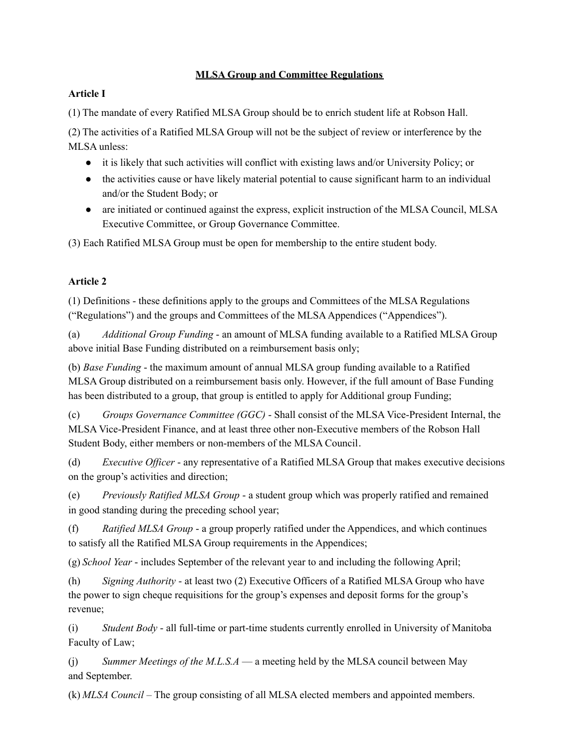# **MLSA Group and Committee Regulations**

# **Article I**

(1) The mandate of every Ratified MLSA Group should be to enrich student life at Robson Hall.

(2) The activities of a Ratified MLSA Group will not be the subject of review or interference by the MLSA unless:

- it is likely that such activities will conflict with existing laws and/or University Policy; or
- the activities cause or have likely material potential to cause significant harm to an individual and/or the Student Body; or
- are initiated or continued against the express, explicit instruction of the MLSA Council, MLSA Executive Committee, or Group Governance Committee.

(3) Each Ratified MLSA Group must be open for membership to the entire student body.

# **Article 2**

(1) Definitions - these definitions apply to the groups and Committees of the MLSA Regulations ("Regulations") and the groups and Committees of the MLSAAppendices ("Appendices").

(a) *Additional Group Funding* - an amount of MLSA funding available to a Ratified MLSA Group above initial Base Funding distributed on a reimbursement basis only;

(b) *Base Funding* - the maximum amount of annual MLSA group funding available to a Ratified MLSA Group distributed on a reimbursement basis only. However, if the full amount of Base Funding has been distributed to a group, that group is entitled to apply for Additional group Funding;

(c) *Groups Governance Committee (GGC)* - Shall consist of the MLSA Vice-President Internal, the MLSA Vice-President Finance, and at least three other non-Executive members of the Robson Hall Student Body, either members or non-members of the MLSA Council.

(d) *Executive Of icer* - any representative of a Ratified MLSA Group that makes executive decisions on the group's activities and direction;

(e) *Previously Ratified MLSA Group* - a student group which was properly ratified and remained in good standing during the preceding school year;

(f) *Ratified MLSA Group* - a group properly ratified under the Appendices, and which continues to satisfy all the Ratified MLSA Group requirements in the Appendices;

(g) *School Year* - includes September of the relevant year to and including the following April;

(h) *Signing Authority* - at least two (2) Executive Officers of a Ratified MLSA Group who have the power to sign cheque requisitions for the group's expenses and deposit forms for the group's revenue;

(i) *Student Body* - all full-time or part-time students currently enrolled in University of Manitoba Faculty of Law;

(j) *Summer Meetings of the M.L.S.A* — a meeting held by the MLSA council between May and September.

(k) *MLSA Council* – The group consisting of all MLSA elected members and appointed members.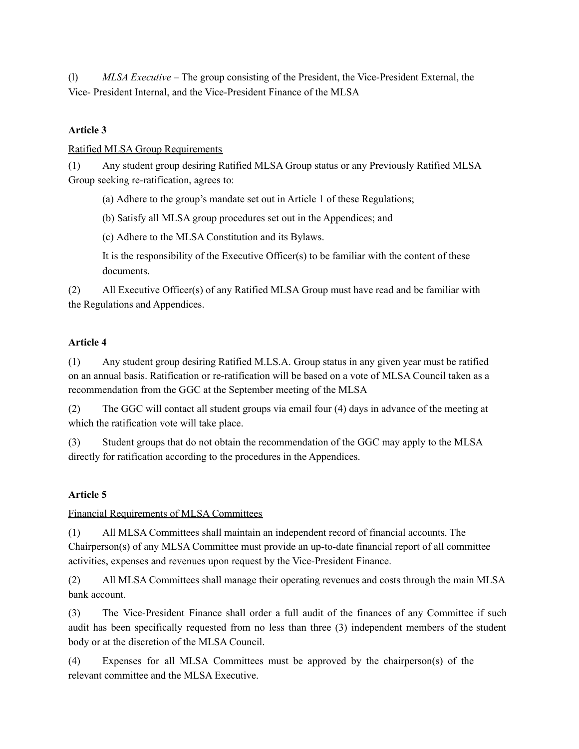(l) *MLSA Executive* – The group consisting of the President, the Vice-President External, the Vice- President Internal, and the Vice-President Finance of the MLSA

## **Article 3**

Ratified MLSA Group Requirements

(1) Any student group desiring Ratified MLSA Group status or any Previously Ratified MLSA Group seeking re-ratification, agrees to:

(a) Adhere to the group's mandate set out in Article 1 of these Regulations;

(b) Satisfy all MLSA group procedures set out in the Appendices; and

(c) Adhere to the MLSA Constitution and its Bylaws.

It is the responsibility of the Executive Officer(s) to be familiar with the content of these documents.

(2) All Executive Officer(s) of any Ratified MLSA Group must have read and be familiar with the Regulations and Appendices.

#### **Article 4**

(1) Any student group desiring Ratified M.LS.A. Group status in any given year must be ratified on an annual basis. Ratification or re-ratification will be based on a vote of MLSA Council taken as a recommendation from the GGC at the September meeting of the MLSA

(2) The GGC will contact all student groups via email four (4) days in advance of the meeting at which the ratification vote will take place.

(3) Student groups that do not obtain the recommendation of the GGC may apply to the MLSA directly for ratification according to the procedures in the Appendices.

## **Article 5**

Financial Requirements of MLSA Committees

(1) All MLSA Committees shall maintain an independent record of financial accounts. The Chairperson(s) of any MLSA Committee must provide an up-to-date financial report of all committee activities, expenses and revenues upon request by the Vice-President Finance.

(2) All MLSA Committees shall manage their operating revenues and costs through the main MLSA bank account.

(3) The Vice-President Finance shall order a full audit of the finances of any Committee if such audit has been specifically requested from no less than three (3) independent members of the student body or at the discretion of the MLSA Council.

(4) Expenses for all MLSA Committees must be approved by the chairperson(s) of the relevant committee and the MLSA Executive.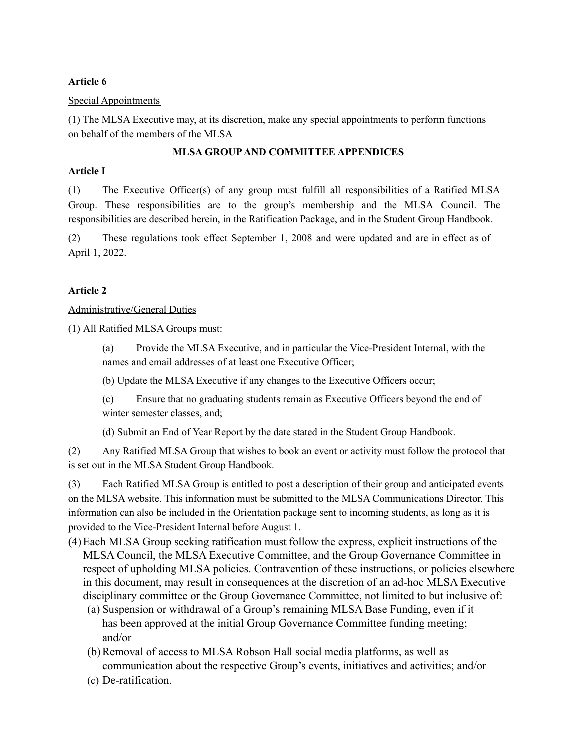## **Article 6**

### Special Appointments

(1) The MLSA Executive may, at its discretion, make any special appointments to perform functions on behalf of the members of the MLSA

## **MLSA GROUPAND COMMITTEE APPENDICES**

## **Article I**

(1) The Executive Officer(s) of any group must fulfill all responsibilities of a Ratified MLSA Group. These responsibilities are to the group's membership and the MLSA Council. The responsibilities are described herein, in the Ratification Package, and in the Student Group Handbook.

(2) These regulations took effect September 1, 2008 and were updated and are in effect as of April 1, 2022.

## **Article 2**

## Administrative/General Duties

(1) All Ratified MLSA Groups must:

(a) Provide the MLSA Executive, and in particular the Vice-President Internal, with the names and email addresses of at least one Executive Officer;

(b) Update the MLSA Executive if any changes to the Executive Officers occur;

(c) Ensure that no graduating students remain as Executive Officers beyond the end of winter semester classes, and;

(d) Submit an End of Year Report by the date stated in the Student Group Handbook.

(2) Any Ratified MLSA Group that wishes to book an event or activity must follow the protocol that is set out in the MLSA Student Group Handbook.

(3) Each Ratified MLSA Group is entitled to post a description of their group and anticipated events on the MLSA website. This information must be submitted to the MLSA Communications Director. This information can also be included in the Orientation package sent to incoming students, as long as it is provided to the Vice-President Internal before August 1.

- (4)Each MLSA Group seeking ratification must follow the express, explicit instructions of the MLSA Council, the MLSA Executive Committee, and the Group Governance Committee in respect of upholding MLSA policies. Contravention of these instructions, or policies elsewhere in this document, may result in consequences at the discretion of an ad-hoc MLSA Executive disciplinary committee or the Group Governance Committee, not limited to but inclusive of:
	- (a) Suspension or withdrawal of a Group's remaining MLSA Base Funding, even if it has been approved at the initial Group Governance Committee funding meeting; and/or
	- (b)Removal of access to MLSA Robson Hall social media platforms, as well as communication about the respective Group's events, initiatives and activities; and/or
	- (c) De-ratification.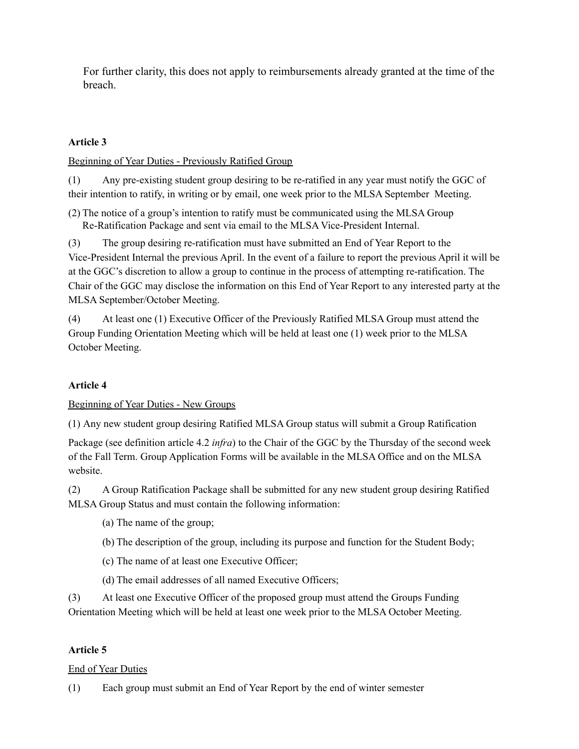For further clarity, this does not apply to reimbursements already granted at the time of the breach.

# **Article 3**

Beginning of Year Duties - Previously Ratified Group

(1) Any pre-existing student group desiring to be re-ratified in any year must notify the GGC of their intention to ratify, in writing or by email, one week prior to the MLSA September Meeting.

(2) The notice of a group's intention to ratify must be communicated using the MLSA Group Re-Ratification Package and sent via email to the MLSA Vice-President Internal.

(3) The group desiring re-ratification must have submitted an End of Year Report to the Vice-President Internal the previous April. In the event of a failure to report the previous April it will be at the GGC's discretion to allow a group to continue in the process of attempting re-ratification. The Chair of the GGC may disclose the information on this End of Year Report to any interested party at the MLSA September/October Meeting.

(4) At least one (1) Executive Officer of the Previously Ratified MLSA Group must attend the Group Funding Orientation Meeting which will be held at least one (1) week prior to the MLSA October Meeting.

## **Article 4**

Beginning of Year Duties - New Groups

(1) Any new student group desiring Ratified MLSA Group status will submit a Group Ratification

Package (see definition article 4.2 *infra*) to the Chair of the GGC by the Thursday of the second week of the Fall Term. Group Application Forms will be available in the MLSA Office and on the MLSA website.

(2) A Group Ratification Package shall be submitted for any new student group desiring Ratified MLSA Group Status and must contain the following information:

- (a) The name of the group;
- (b) The description of the group, including its purpose and function for the Student Body;
- (c) The name of at least one Executive Officer;
- (d) The email addresses of all named Executive Officers;

(3) At least one Executive Officer of the proposed group must attend the Groups Funding Orientation Meeting which will be held at least one week prior to the MLSA October Meeting.

## **Article 5**

End of Year Duties

(1) Each group must submit an End of Year Report by the end of winter semester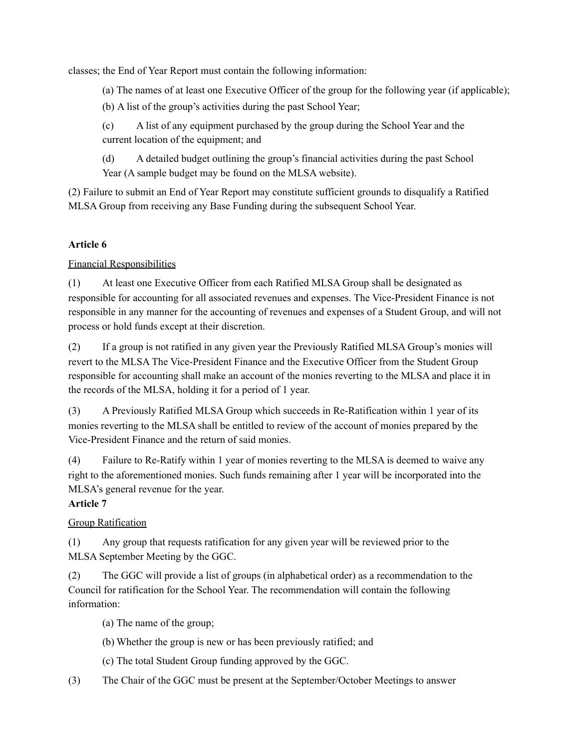classes; the End of Year Report must contain the following information:

(a) The names of at least one Executive Officer of the group for the following year (if applicable);

(b) A list of the group's activities during the past School Year;

(c) A list of any equipment purchased by the group during the School Year and the current location of the equipment; and

(d) A detailed budget outlining the group's financial activities during the past School Year (A sample budget may be found on the MLSA website).

(2) Failure to submit an End of Year Report may constitute sufficient grounds to disqualify a Ratified MLSA Group from receiving any Base Funding during the subsequent School Year.

# **Article 6**

# Financial Responsibilities

(1) At least one Executive Officer from each Ratified MLSA Group shall be designated as responsible for accounting for all associated revenues and expenses. The Vice-President Finance is not responsible in any manner for the accounting of revenues and expenses of a Student Group, and will not process or hold funds except at their discretion.

(2) If a group is not ratified in any given year the Previously Ratified MLSA Group's monies will revert to the MLSA The Vice-President Finance and the Executive Officer from the Student Group responsible for accounting shall make an account of the monies reverting to the MLSA and place it in the records of the MLSA, holding it for a period of 1 year.

(3) A Previously Ratified MLSA Group which succeeds in Re-Ratification within 1 year of its monies reverting to the MLSA shall be entitled to review of the account of monies prepared by the Vice-President Finance and the return of said monies.

(4) Failure to Re-Ratify within 1 year of monies reverting to the MLSA is deemed to waive any right to the aforementioned monies. Such funds remaining after 1 year will be incorporated into the MLSA's general revenue for the year.

# **Article 7**

# Group Ratification

(1) Any group that requests ratification for any given year will be reviewed prior to the MLSA September Meeting by the GGC.

(2) The GGC will provide a list of groups (in alphabetical order) as a recommendation to the Council for ratification for the School Year. The recommendation will contain the following information:

- (a) The name of the group;
- (b) Whether the group is new or has been previously ratified; and
- (c) The total Student Group funding approved by the GGC.
- (3) The Chair of the GGC must be present at the September/October Meetings to answer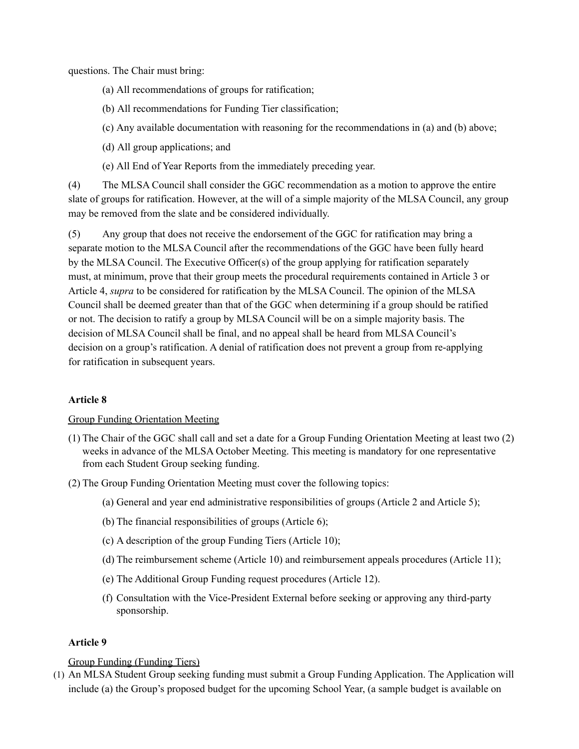questions. The Chair must bring:

- (a) All recommendations of groups for ratification;
- (b) All recommendations for Funding Tier classification;
- (c) Any available documentation with reasoning for the recommendations in (a) and (b) above;
- (d) All group applications; and
- (e) All End of Year Reports from the immediately preceding year.

(4) The MLSA Council shall consider the GGC recommendation as a motion to approve the entire slate of groups for ratification. However, at the will of a simple majority of the MLSA Council, any group may be removed from the slate and be considered individually.

(5) Any group that does not receive the endorsement of the GGC for ratification may bring a separate motion to the MLSA Council after the recommendations of the GGC have been fully heard by the MLSA Council. The Executive Officer(s) of the group applying for ratification separately must, at minimum, prove that their group meets the procedural requirements contained in Article 3 or Article 4, *supra* to be considered for ratification by the MLSA Council. The opinion of the MLSA Council shall be deemed greater than that of the GGC when determining if a group should be ratified or not. The decision to ratify a group by MLSA Council will be on a simple majority basis. The decision of MLSA Council shall be final, and no appeal shall be heard from MLSA Council's decision on a group's ratification. A denial of ratification does not prevent a group from re-applying for ratification in subsequent years.

## **Article 8**

### Group Funding Orientation Meeting

- (1) The Chair of the GGC shall call and set a date for a Group Funding Orientation Meeting at least two (2) weeks in advance of the MLSA October Meeting. This meeting is mandatory for one representative from each Student Group seeking funding.
- (2) The Group Funding Orientation Meeting must cover the following topics:
	- (a) General and year end administrative responsibilities of groups (Article 2 and Article 5);
	- (b) The financial responsibilities of groups (Article 6);
	- (c) A description of the group Funding Tiers (Article 10);
	- (d) The reimbursement scheme (Article 10) and reimbursement appeals procedures (Article 11);
	- (e) The Additional Group Funding request procedures (Article 12).
	- (f) Consultation with the Vice-President External before seeking or approving any third-party sponsorship.

#### **Article 9**

#### Group Funding (Funding Tiers)

(1) An MLSA Student Group seeking funding must submit a Group Funding Application. The Application will include (a) the Group's proposed budget for the upcoming School Year, (a sample budget is available on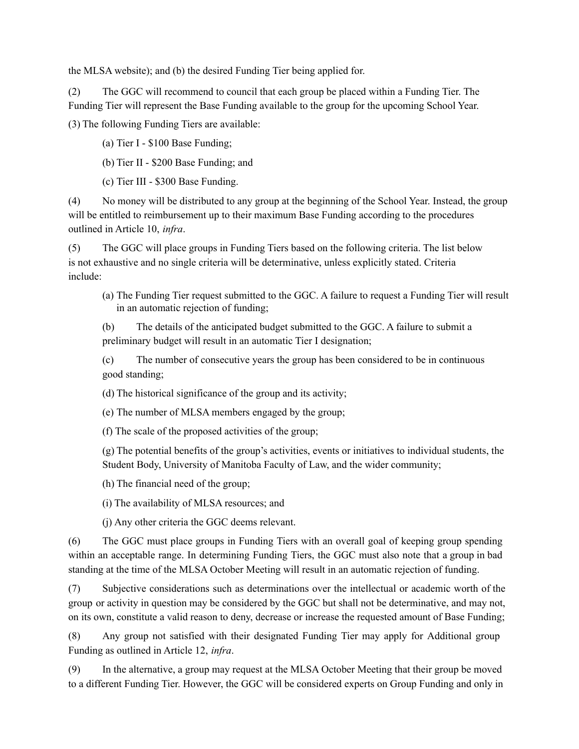the MLSA website); and (b) the desired Funding Tier being applied for.

(2) The GGC will recommend to council that each group be placed within a Funding Tier. The Funding Tier will represent the Base Funding available to the group for the upcoming School Year.

(3) The following Funding Tiers are available:

(a) Tier I - \$100 Base Funding;

(b) Tier II - \$200 Base Funding; and

(c) Tier III - \$300 Base Funding.

(4) No money will be distributed to any group at the beginning of the School Year. Instead, the group will be entitled to reimbursement up to their maximum Base Funding according to the procedures outlined in Article 10, *infra*.

(5) The GGC will place groups in Funding Tiers based on the following criteria. The list below is not exhaustive and no single criteria will be determinative, unless explicitly stated. Criteria include:

(a) The Funding Tier request submitted to the GGC. A failure to request a Funding Tier will result in an automatic rejection of funding;

(b) The details of the anticipated budget submitted to the GGC. A failure to submit a preliminary budget will result in an automatic Tier I designation;

(c) The number of consecutive years the group has been considered to be in continuous good standing;

(d) The historical significance of the group and its activity;

(e) The number of MLSA members engaged by the group;

(f) The scale of the proposed activities of the group;

(g) The potential benefits of the group's activities, events or initiatives to individual students, the Student Body, University of Manitoba Faculty of Law, and the wider community;

(h) The financial need of the group;

(i) The availability of MLSA resources; and

(j) Any other criteria the GGC deems relevant.

(6) The GGC must place groups in Funding Tiers with an overall goal of keeping group spending within an acceptable range. In determining Funding Tiers, the GGC must also note that a group in bad standing at the time of the MLSA October Meeting will result in an automatic rejection of funding.

(7) Subjective considerations such as determinations over the intellectual or academic worth of the group or activity in question may be considered by the GGC but shall not be determinative, and may not, on its own, constitute a valid reason to deny, decrease or increase the requested amount of Base Funding;

(8) Any group not satisfied with their designated Funding Tier may apply for Additional group Funding as outlined in Article 12, *infra*.

(9) In the alternative, a group may request at the MLSA October Meeting that their group be moved to a different Funding Tier. However, the GGC will be considered experts on Group Funding and only in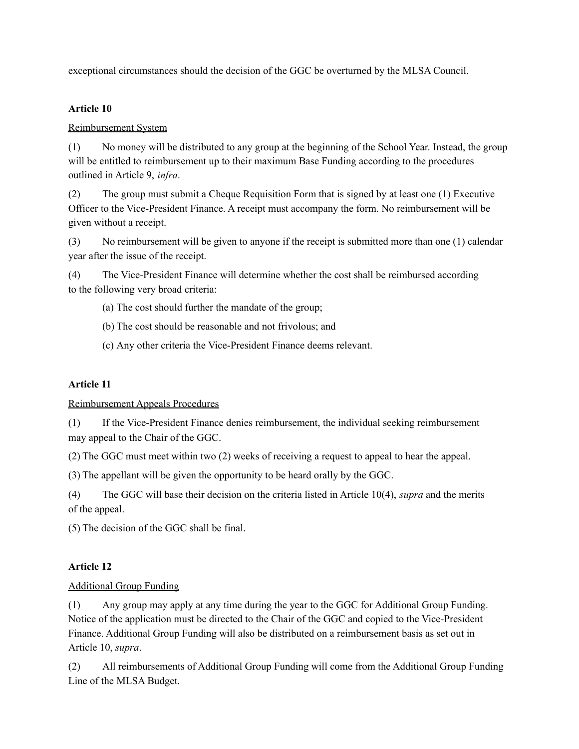exceptional circumstances should the decision of the GGC be overturned by the MLSA Council.

## **Article 10**

# Reimbursement System

(1) No money will be distributed to any group at the beginning of the School Year. Instead, the group will be entitled to reimbursement up to their maximum Base Funding according to the procedures outlined in Article 9, *infra*.

(2) The group must submit a Cheque Requisition Form that is signed by at least one (1) Executive Officer to the Vice-President Finance. A receipt must accompany the form. No reimbursement will be given without a receipt.

(3) No reimbursement will be given to anyone if the receipt is submitted more than one (1) calendar year after the issue of the receipt.

(4) The Vice-President Finance will determine whether the cost shall be reimbursed according to the following very broad criteria:

(a) The cost should further the mandate of the group;

(b) The cost should be reasonable and not frivolous; and

(c) Any other criteria the Vice-President Finance deems relevant.

# **Article 11**

Reimbursement Appeals Procedures

(1) If the Vice-President Finance denies reimbursement, the individual seeking reimbursement may appeal to the Chair of the GGC.

(2) The GGC must meet within two (2) weeks of receiving a request to appeal to hear the appeal.

(3) The appellant will be given the opportunity to be heard orally by the GGC.

(4) The GGC will base their decision on the criteria listed in Article 10(4), *supra* and the merits of the appeal.

(5) The decision of the GGC shall be final.

# **Article 12**

# Additional Group Funding

(1) Any group may apply at any time during the year to the GGC for Additional Group Funding. Notice of the application must be directed to the Chair of the GGC and copied to the Vice-President Finance. Additional Group Funding will also be distributed on a reimbursement basis as set out in Article 10, *supra*.

(2) All reimbursements of Additional Group Funding will come from the Additional Group Funding Line of the MLSA Budget.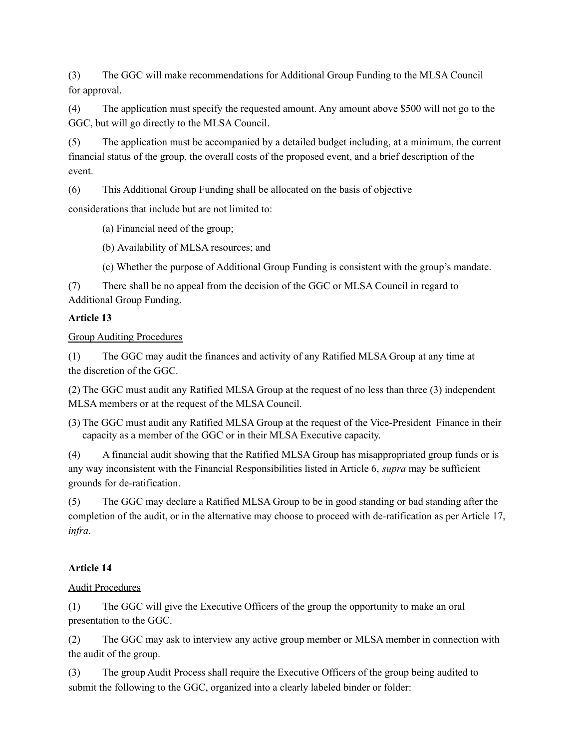(3) The GGC will make recommendations for Additional Group Funding to the MLSA Council for approval.

(4) The application must specify the requested amount. Any amount above \$500 will not go to the GGC, but will go directly to the MLSA Council.

(5) The application must be accompanied by a detailed budget including, at a minimum, the current financial status of the group, the overall costs of the proposed event, and a brief description of the event.

(6) This Additional Group Funding shall be allocated on the basis of objective

considerations that include but are not limited to:

(a) Financial need of the group;

(b) Availability of MLSA resources; and

(c) Whether the purpose of Additional Group Funding is consistent with the group's mandate.

(7) There shall be no appeal from the decision of the GGC or MLSA Council in regard to Additional Group Funding.

# **Article 13**

Group Auditing Procedures

(1) The GGC may audit the finances and activity of any Ratified MLSA Group at any time at the discretion of the GGC.

(2) The GGC must audit any Ratified MLSA Group at the request of no less than three (3) independent MLSA members or at the request of the MLSA Council.

(3) The GGC must audit any Ratified MLSA Group at the request of the Vice-President Finance in their capacity as a member of the GGC or in their MLSA Executive capacity.

(4) A financial audit showing that the Ratified MLSA Group has misappropriated group funds or is any way inconsistent with the Financial Responsibilities listed in Article 6, *supra* may be sufficient grounds for de-ratification.

(5) The GGC may declare a Ratified MLSA Group to be in good standing or bad standing after the completion of the audit, or in the alternative may choose to proceed with de-ratification as per Article 17, *infra*.

# **Article 14**

## Audit Procedures

(1) The GGC will give the Executive Officers of the group the opportunity to make an oral presentation to the GGC.

(2) The GGC may ask to interview any active group member or MLSA member in connection with the audit of the group.

(3) The group Audit Process shall require the Executive Officers of the group being audited to submit the following to the GGC, organized into a clearly labeled binder or folder: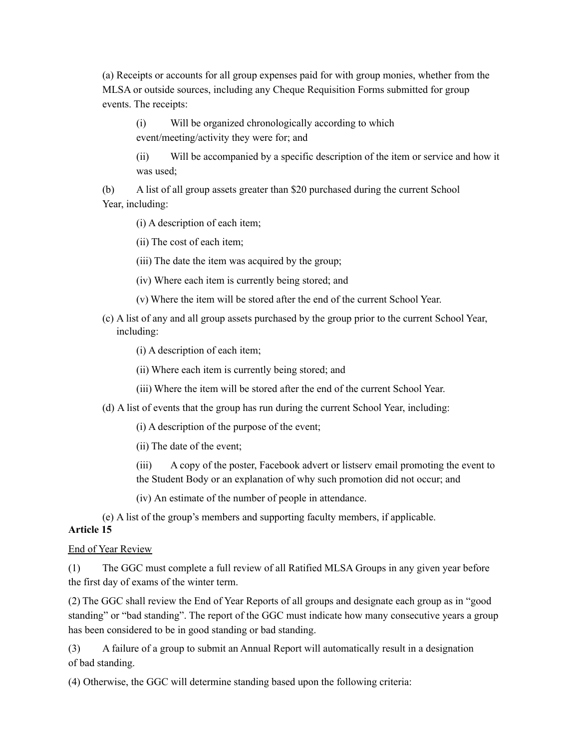(a) Receipts or accounts for all group expenses paid for with group monies, whether from the MLSA or outside sources, including any Cheque Requisition Forms submitted for group events. The receipts:

(i) Will be organized chronologically according to which event/meeting/activity they were for; and

(ii) Will be accompanied by a specific description of the item or service and how it was used;

(b) A list of all group assets greater than \$20 purchased during the current School Year, including:

(i) A description of each item;

(ii) The cost of each item;

(iii) The date the item was acquired by the group;

(iv) Where each item is currently being stored; and

(v) Where the item will be stored after the end of the current School Year.

(c) A list of any and all group assets purchased by the group prior to the current School Year, including:

(i) A description of each item;

(ii) Where each item is currently being stored; and

(iii) Where the item will be stored after the end of the current School Year.

(d) A list of events that the group has run during the current School Year, including:

(i) A description of the purpose of the event;

(ii) The date of the event;

(iii) A copy of the poster, Facebook advert or listserv email promoting the event to the Student Body or an explanation of why such promotion did not occur; and

(iv) An estimate of the number of people in attendance.

(e) A list of the group's members and supporting faculty members, if applicable.

## **Article 15**

### End of Year Review

(1) The GGC must complete a full review of all Ratified MLSA Groups in any given year before the first day of exams of the winter term.

(2) The GGC shall review the End of Year Reports of all groups and designate each group as in "good standing" or "bad standing". The report of the GGC must indicate how many consecutive years a group has been considered to be in good standing or bad standing.

(3) A failure of a group to submit an Annual Report will automatically result in a designation of bad standing.

(4) Otherwise, the GGC will determine standing based upon the following criteria: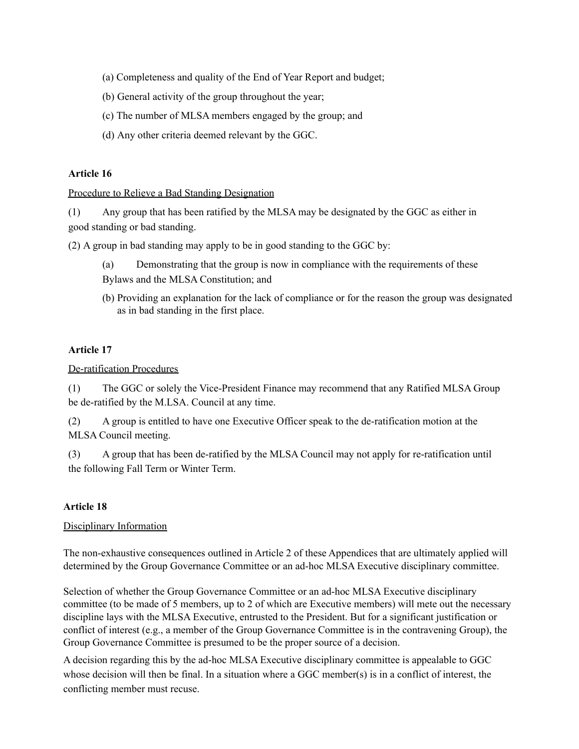- (a) Completeness and quality of the End of Year Report and budget;
- (b) General activity of the group throughout the year;
- (c) The number of MLSA members engaged by the group; and
- (d) Any other criteria deemed relevant by the GGC.

### **Article 16**

### Procedure to Relieve a Bad Standing Designation

(1) Any group that has been ratified by the MLSA may be designated by the GGC as either in good standing or bad standing.

(2) A group in bad standing may apply to be in good standing to the GGC by:

- (a) Demonstrating that the group is now in compliance with the requirements of these
- Bylaws and the MLSA Constitution; and
- (b) Providing an explanation for the lack of compliance or for the reason the group was designated as in bad standing in the first place.

## **Article 17**

### De-ratification Procedures

(1) The GGC or solely the Vice-President Finance may recommend that any Ratified MLSA Group be de-ratified by the M.LSA. Council at any time.

(2) A group is entitled to have one Executive Officer speak to the de-ratification motion at the MLSA Council meeting.

(3) A group that has been de-ratified by the MLSA Council may not apply for re-ratification until the following Fall Term or Winter Term.

### **Article 18**

### Disciplinary Information

The non-exhaustive consequences outlined in Article 2 of these Appendices that are ultimately applied will determined by the Group Governance Committee or an ad-hoc MLSA Executive disciplinary committee.

Selection of whether the Group Governance Committee or an ad-hoc MLSA Executive disciplinary committee (to be made of 5 members, up to 2 of which are Executive members) will mete out the necessary discipline lays with the MLSA Executive, entrusted to the President. But for a significant justification or conflict of interest (e.g., a member of the Group Governance Committee is in the contravening Group), the Group Governance Committee is presumed to be the proper source of a decision.

A decision regarding this by the ad-hoc MLSA Executive disciplinary committee is appealable to GGC whose decision will then be final. In a situation where a GGC member(s) is in a conflict of interest, the conflicting member must recuse.